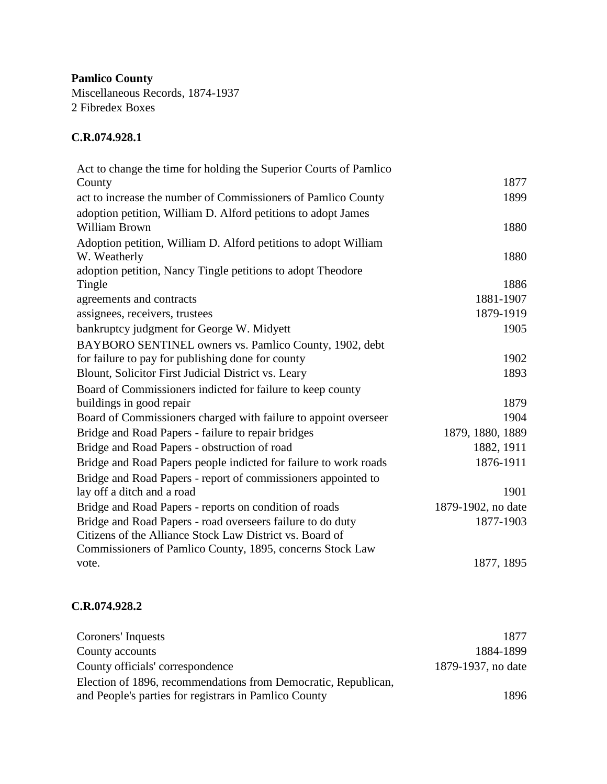**Pamlico County** Miscellaneous Records, 1874-1937 2 Fibredex Boxes

## **C.R.074.928.1**

| Act to change the time for holding the Superior Courts of Pamlico               |                    |
|---------------------------------------------------------------------------------|--------------------|
| County                                                                          | 1877               |
| act to increase the number of Commissioners of Pamlico County                   | 1899               |
| adoption petition, William D. Alford petitions to adopt James<br>William Brown  | 1880               |
| Adoption petition, William D. Alford petitions to adopt William<br>W. Weatherly | 1880               |
| adoption petition, Nancy Tingle petitions to adopt Theodore                     |                    |
| Tingle                                                                          | 1886               |
| agreements and contracts                                                        | 1881-1907          |
| assignees, receivers, trustees                                                  | 1879-1919          |
| bankruptcy judgment for George W. Midyett                                       | 1905               |
| BAYBORO SENTINEL owners vs. Pamlico County, 1902, debt                          |                    |
| for failure to pay for publishing done for county                               | 1902               |
| Blount, Solicitor First Judicial District vs. Leary                             | 1893               |
| Board of Commissioners indicted for failure to keep county                      |                    |
| buildings in good repair                                                        | 1879               |
| Board of Commissioners charged with failure to appoint overseer                 | 1904               |
| Bridge and Road Papers - failure to repair bridges                              | 1879, 1880, 1889   |
| Bridge and Road Papers - obstruction of road                                    | 1882, 1911         |
| Bridge and Road Papers people indicted for failure to work roads                | 1876-1911          |
| Bridge and Road Papers - report of commissioners appointed to                   |                    |
| lay off a ditch and a road                                                      | 1901               |
| Bridge and Road Papers - reports on condition of roads                          | 1879-1902, no date |
| Bridge and Road Papers - road overseers failure to do duty                      | 1877-1903          |
| Citizens of the Alliance Stock Law District vs. Board of                        |                    |
| Commissioners of Pamlico County, 1895, concerns Stock Law                       |                    |
| vote.                                                                           | 1877, 1895         |

## **C.R.074.928.2**

| Coroners' Inquests                                                                                                      | 1877               |
|-------------------------------------------------------------------------------------------------------------------------|--------------------|
| County accounts                                                                                                         | 1884-1899          |
| County officials' correspondence                                                                                        | 1879-1937, no date |
| Election of 1896, recommendations from Democratic, Republican,<br>and People's parties for registrars in Pamlico County | 1896               |